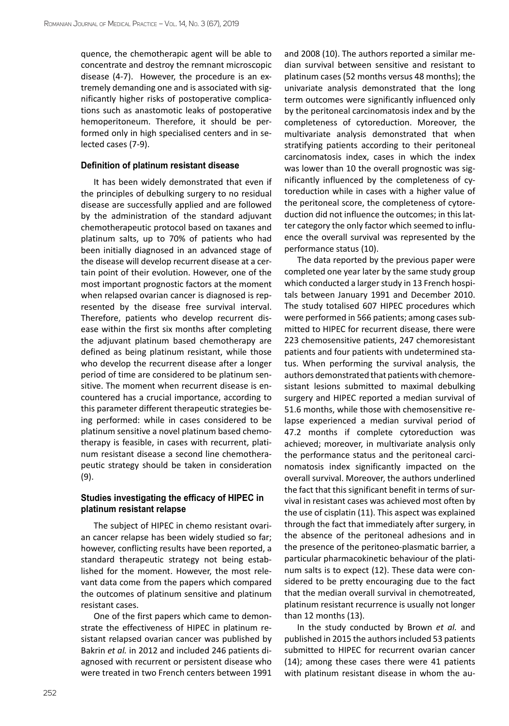quence, the chemotherapic agent will be able to concentrate and destroy the remnant microscopic disease (4-7). However, the procedure is an extremely demanding one and is associated with significantly higher risks of postoperative complications such as anastomotic leaks of postoperative hemoperitoneum. Therefore, it should be performed only in high specialised centers and in selected cases (7-9).

### **Definition of platinum resistant disease**

It has been widely demonstrated that even if the principles of debulking surgery to no residual disease are successfully applied and are followed by the administration of the standard adjuvant chemotherapeutic protocol based on taxanes and platinum salts, up to 70% of patients who had been initially diagnosed in an advanced stage of the disease will develop recurrent disease at a certain point of their evolution. However, one of the most important prognostic factors at the moment when relapsed ovarian cancer is diagnosed is represented by the disease free survival interval. Therefore, patients who develop recurrent disease within the first six months after completing the adjuvant platinum based chemotherapy are defined as being platinum resistant, while those who develop the recurrent disease after a longer period of time are considered to be platinum sensitive. The moment when recurrent disease is encountered has a crucial importance, according to this parameter different therapeutic strategies being performed: while in cases considered to be platinum sensitive a novel platinum based chemotherapy is feasible, in cases with recurrent, platinum resistant disease a second line chemotherapeutic strategy should be taken in consideration (9).

# **Studies investigating the efficacy of HIPEC in platinum resistant relapse**

The subject of HIPEC in chemo resistant ovarian cancer relapse has been widely studied so far; however, conflicting results have been reported, a standard therapeutic strategy not being established for the moment. However, the most relevant data come from the papers which compared the outcomes of platinum sensitive and platinum resistant cases.

One of the first papers which came to demonstrate the effectiveness of HIPEC in platinum resistant relapsed ovarian cancer was published by Bakrin *et al.* in 2012 and included 246 patients diagnosed with recurrent or persistent disease who were treated in two French centers between 1991

and 2008 (10). The authors reported a similar median survival between sensitive and resistant to platinum cases (52 months versus 48 months); the univariate analysis demonstrated that the long term outcomes were significantly influenced only by the peritoneal carcinomatosis index and by the completeness of cytoreduction. Moreover, the multivariate analysis demonstrated that when stratifying patients according to their peritoneal carcinomatosis index, cases in which the index was lower than 10 the overall prognostic was significantly influenced by the completeness of cytoreduction while in cases with a higher value of the peritoneal score, the completeness of cytoreduction did not influence the outcomes; in this latter category the only factor which seemed to influence the overall survival was represented by the performance status (10).

The data reported by the previous paper were completed one year later by the same study group which conducted a larger study in 13 French hospitals between January 1991 and December 2010. The study totalised 607 HIPEC procedures which were performed in 566 patients; among cases submitted to HIPEC for recurrent disease, there were 223 chemosensitive patients, 247 chemoresistant patients and four patients with undetermined status. When performing the survival analysis, the authors demonstrated that patients with chemoresistant lesions submitted to maximal debulking surgery and HIPEC reported a median survival of 51.6 months, while those with chemosensitive relapse experienced a median survival period of 47.2 months if complete cytoreduction was achieved; moreover, in multivariate analysis only the performance status and the peritoneal carcinomatosis index significantly impacted on the overall survival. Moreover, the authors underlined the fact that this significant benefit in terms of survival in resistant cases was achieved most often by the use of cisplatin (11). This aspect was explained through the fact that immediately after surgery, in the absence of the peritoneal adhesions and in the presence of the peritoneo-plasmatic barrier, a particular pharmacokinetic behaviour of the platinum salts is to expect (12). These data were considered to be pretty encouraging due to the fact that the median overall survival in chemotreated, platinum resistant recurrence is usually not longer than 12 months (13).

In the study conducted by Brown *et al.* and published in 2015 the authors included 53 patients submitted to HIPEC for recurrent ovarian cancer (14); among these cases there were 41 patients with platinum resistant disease in whom the au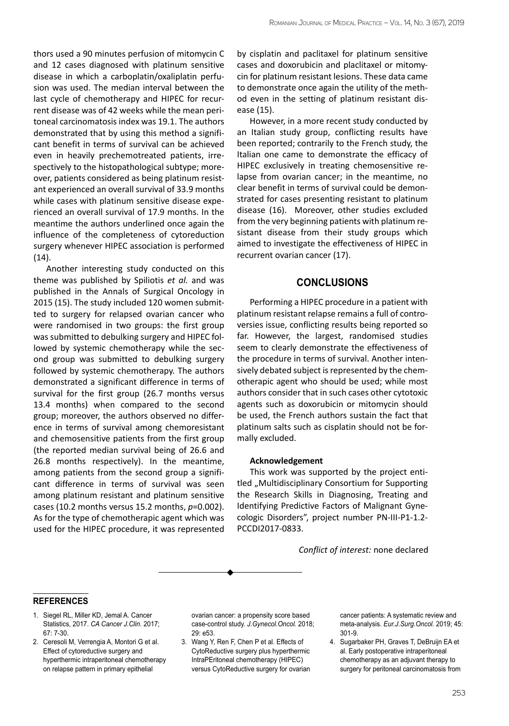thors used a 90 minutes perfusion of mitomycin C and 12 cases diagnosed with platinum sensitive disease in which a carboplatin/oxaliplatin perfusion was used. The median interval between the last cycle of chemotherapy and HIPEC for recurrent disease was of 42 weeks while the mean peritoneal carcinomatosis index was 19.1. The authors demonstrated that by using this method a significant benefit in terms of survival can be achieved even in heavily prechemotreated patients, irrespectively to the histopathological subtype; moreover, patients considered as being platinum resistant experienced an overall survival of 33.9 months while cases with platinum sensitive disease experienced an overall survival of 17.9 months. In the meantime the authors underlined once again the influence of the completeness of cytoreduction surgery whenever HIPEC association is performed  $(14).$ 

Another interesting study conducted on this theme was published by Spiliotis *et al.* and was published in the Annals of Surgical Oncology in 2015 (15). The study included 120 women submitted to surgery for relapsed ovarian cancer who were randomised in two groups: the first group was submitted to debulking surgery and HIPEC followed by systemic chemotherapy while the second group was submitted to debulking surgery followed by systemic chemotherapy. The authors demonstrated a significant difference in terms of survival for the first group (26.7 months versus 13.4 months) when compared to the second group; moreover, the authors observed no difference in terms of survival among chemoresistant and chemosensitive patients from the first group (the reported median survival being of 26.6 and 26.8 months respectively). In the meantime, among patients from the second group a significant difference in terms of survival was seen among platinum resistant and platinum sensitive cases (10.2 months versus 15.2 months, *p*=0.002). As for the type of chemotherapic agent which was used for the HIPEC procedure, it was represented by cisplatin and paclitaxel for platinum sensitive cases and doxorubicin and placlitaxel or mitomycin for platinum resistant lesions. These data came to demonstrate once again the utility of the method even in the setting of platinum resistant disease (15).

However, in a more recent study conducted by an Italian study group, conflicting results have been reported; contrarily to the French study, the Italian one came to demonstrate the efficacy of HIPEC exclusively in treating chemosensitive relapse from ovarian cancer; in the meantime, no clear benefit in terms of survival could be demonstrated for cases presenting resistant to platinum disease (16). Moreover, other studies excluded from the very beginning patients with platinum resistant disease from their study groups which aimed to investigate the effectiveness of HIPEC in recurrent ovarian cancer (17).

# **Conclusions**

Performing a HIPEC procedure in a patient with platinum resistant relapse remains a full of controversies issue, conflicting results being reported so far. However, the largest, randomised studies seem to clearly demonstrate the effectiveness of the procedure in terms of survival. Another intensively debated subject is represented by the chemotherapic agent who should be used; while most authors consider that in such cases other cytotoxic agents such as doxorubicin or mitomycin should be used, the French authors sustain the fact that platinum salts such as cisplatin should not be formally excluded.

#### **Acknowledgement**

This work was supported by the project entitled "Multidisciplinary Consortium for Supporting the Research Skills in Diagnosing, Treating and Identifying Predictive Factors of Malignant Gynecologic Disorders", project number PN-III-P1-1.2- PCCDI2017-0833.

*Conflict of interest:* none declared

#### **references**

- 1. Siegel RL, Miller KD, Jemal A. Cancer Statistics, 2017. *CA Cancer J.Clin.* 2017; 67: 7-30.
- 2. Ceresoli M, Verrengia A, Montori G et al. Effect of cytoreductive surgery and hyperthermic intraperitoneal chemotherapy on relapse pattern in primary epithelial

ovarian cancer: a propensity score based case-control study. *J.Gynecol.Oncol.* 2018; 29: e53.

3. Wang Y, Ren F, Chen P et al. Effects of CytoReductive surgery plus hyperthermic IntraPEritoneal chemotherapy (HIPEC) versus CytoReductive surgery for ovarian cancer patients: A systematic review and meta-analysis. *Eur.J.Surg.Oncol.* 2019; 45: 301-9.

4. Sugarbaker PH, Graves T, DeBruijn EA et al. Early postoperative intraperitoneal chemotherapy as an adjuvant therapy to surgery for peritoneal carcinomatosis from